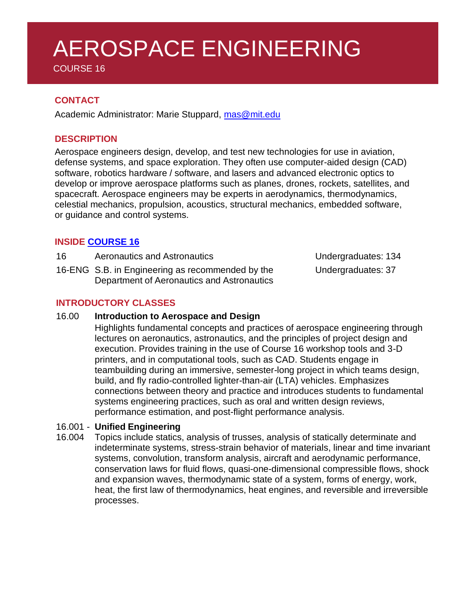# AEROSPACE ENGINEERING

COURSE 16

## **CONTACT**

Academic Administrator: Marie Stuppard, [mas@mit.edu](mailto:mas@mit.edu)

## **DESCRIPTION**

Aerospace engineers design, develop, and test new technologies for use in aviation, defense systems, and space exploration. They often use computer-aided design (CAD) software, robotics hardware / software, and lasers and advanced electronic optics to develop or improve aerospace platforms such as planes, drones, rockets, satellites, and spacecraft. Aerospace engineers may be experts in aerodynamics, thermodynamics, celestial mechanics, propulsion, acoustics, structural mechanics, embedded software, or guidance and control systems.

#### **INSIDE [COURSE](https://aeroastro.mit.edu/education/undergraduate-degrees-requirements/) 16**

- 16 Aeronautics and Astronautics Aeronautics According Material Astronautics Material Assembly Undergraduates: 134
- 16-ENG S.B. in Engineering as recommended by the Department of Aeronautics and Astronautics

Undergraduates: 37

## **INTRODUCTORY CLASSES**

#### 16.00 **Introduction to Aerospace and Design**

Highlights fundamental concepts and practices of aerospace engineering through lectures on aeronautics, astronautics, and the principles of project design and execution. Provides training in the use of Course 16 workshop tools and 3-D printers, and in computational tools, such as CAD. Students engage in teambuilding during an immersive, semester-long project in which teams design, build, and fly radio-controlled lighter-than-air (LTA) vehicles. Emphasizes connections between theory and practice and introduces students to fundamental systems engineering practices, such as oral and written design reviews, performance estimation, and post-flight performance analysis.

#### 16.001 - **Unified Engineering**

16.004 Topics include statics, analysis of trusses, analysis of statically determinate and indeterminate systems, stress-strain behavior of materials, linear and time invariant systems, convolution, transform analysis, aircraft and aerodynamic performance, conservation laws for fluid flows, quasi-one-dimensional compressible flows, shock and expansion waves, thermodynamic state of a system, forms of energy, work, heat, the first law of thermodynamics, heat engines, and reversible and irreversible processes.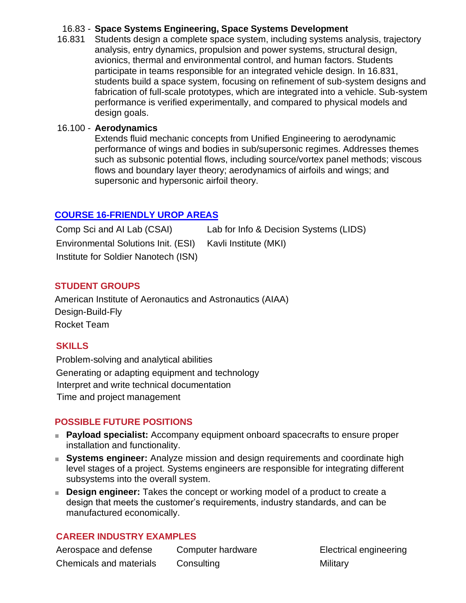## 16.83 - **Space Systems Engineering, Space Systems Development**

16.831 Students design a complete space system, including systems analysis, trajectory analysis, entry dynamics, propulsion and power systems, structural design, avionics, thermal and environmental control, and human factors. Students participate in teams responsible for an integrated vehicle design. In 16.831, students build a space system, focusing on refinement of sub-system designs and fabrication of full-scale prototypes, which are integrated into a vehicle. Sub-system performance is verified experimentally, and compared to physical models and design goals.

#### 16.100 - **Aerodynamics**

Extends fluid mechanic concepts from Unified Engineering to aerodynamic performance of wings and bodies in sub/supersonic regimes. Addresses themes such as subsonic potential flows, including source/vortex panel methods; viscous flows and boundary layer theory; aerodynamics of airfoils and wings; and supersonic and hypersonic airfoil theory.

# **COURSE [16-FRIENDLY](https://aeroastro.mit.edu/research/) UROP AREAS**

Comp Sci and AI Lab (CSAI) Lab for Info & Decision Systems (LIDS) Environmental Solutions Init. (ESI) Kavli Institute (MKI) Institute for Soldier Nanotech (ISN)

# **STUDENT GROUPS**

American Institute of Aeronautics and Astronautics (AIAA) Design-Build-Fly Rocket Team

# **SKILLS**

Problem-solving and analytical abilities Generating or adapting equipment and technology Interpret and write technical documentation Time and project management

# **POSSIBLE FUTURE POSITIONS**

- **Payload specialist:** Accompany equipment onboard spacecrafts to ensure proper installation and functionality.
- **Systems engineer:** Analyze mission and design requirements and coordinate high level stages of a project. Systems engineers are responsible for integrating different subsystems into the overall system.
- **Design engineer:** Takes the concept or working model of a product to create a design that meets the customer's requirements, industry standards, and can be manufactured economically.

## **CAREER INDUSTRY EXAMPLES**

| Aerospace and defense   | Computer hardware | Electric |
|-------------------------|-------------------|----------|
| Chemicals and materials | Consulting        | Military |

Electrical engineering